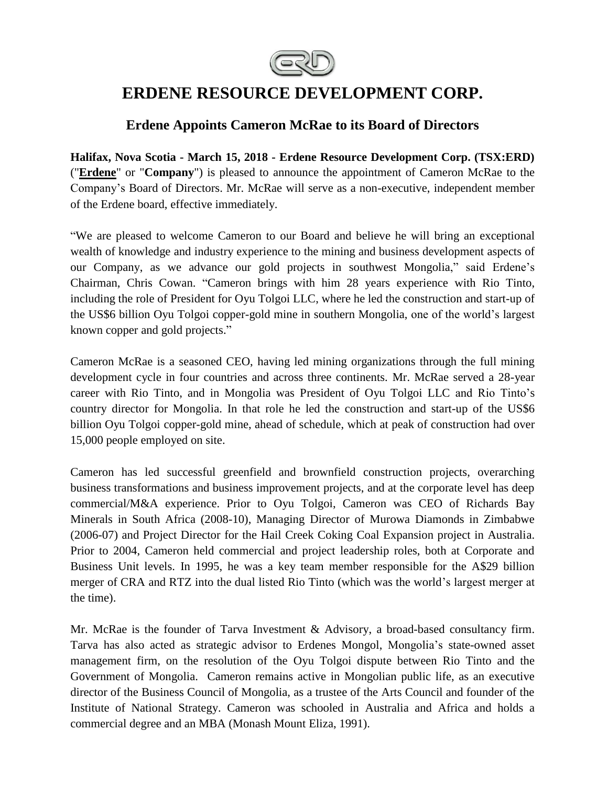

# **ERDENE RESOURCE DEVELOPMENT CORP.**

# **Erdene Appoints Cameron McRae to its Board of Directors**

**Halifax, Nova Scotia - March 15, 2018 - Erdene Resource Development Corp. (TSX:ERD)**  ("**[Erdene](http://www.erdene.com/)**" or "**Company**") is pleased to announce the appointment of Cameron McRae to the Company's Board of Directors. Mr. McRae will serve as a non-executive, independent member of the Erdene board, effective immediately.

"We are pleased to welcome Cameron to our Board and believe he will bring an exceptional wealth of knowledge and industry experience to the mining and business development aspects of our Company, as we advance our gold projects in southwest Mongolia," said Erdene's Chairman, Chris Cowan. "Cameron brings with him 28 years experience with Rio Tinto, including the role of President for Oyu Tolgoi LLC, where he led the construction and start-up of the US\$6 billion Oyu Tolgoi copper-gold mine in southern Mongolia, one of the world's largest known copper and gold projects."

Cameron McRae is a seasoned CEO, having led mining organizations through the full mining development cycle in four countries and across three continents. Mr. McRae served a 28-year career with Rio Tinto, and in Mongolia was President of Oyu Tolgoi LLC and Rio Tinto's country director for Mongolia. In that role he led the construction and start-up of the US\$6 billion Oyu Tolgoi copper-gold mine, ahead of schedule, which at peak of construction had over 15,000 people employed on site.

Cameron has led successful greenfield and brownfield construction projects, overarching business transformations and business improvement projects, and at the corporate level has deep commercial/M&A experience. Prior to Oyu Tolgoi, Cameron was CEO of Richards Bay Minerals in South Africa (2008-10), Managing Director of Murowa Diamonds in Zimbabwe (2006-07) and Project Director for the Hail Creek Coking Coal Expansion project in Australia. Prior to 2004, Cameron held commercial and project leadership roles, both at Corporate and Business Unit levels. In 1995, he was a key team member responsible for the A\$29 billion merger of CRA and RTZ into the dual listed Rio Tinto (which was the world's largest merger at the time).

Mr. McRae is the founder of Tarva Investment & Advisory, a broad-based consultancy firm. Tarva has also acted as strategic advisor to Erdenes Mongol, Mongolia's state-owned asset management firm, on the resolution of the Oyu Tolgoi dispute between Rio Tinto and the Government of Mongolia. Cameron remains active in Mongolian public life, as an executive director of the Business Council of Mongolia, as a trustee of the Arts Council and founder of the Institute of National Strategy. Cameron was schooled in Australia and Africa and holds a commercial degree and an MBA (Monash Mount Eliza, 1991).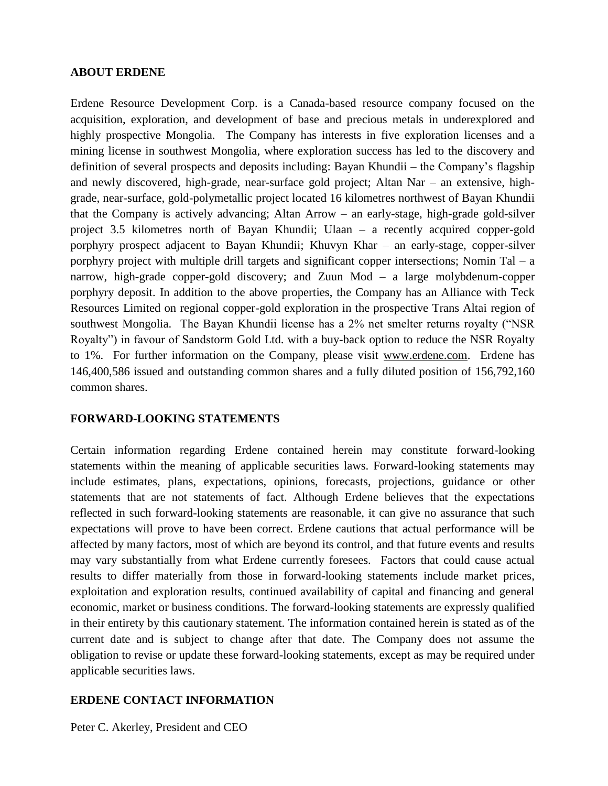#### **ABOUT ERDENE**

Erdene Resource Development Corp. is a Canada-based resource company focused on the acquisition, exploration, and development of base and precious metals in underexplored and highly prospective Mongolia. The Company has interests in five exploration licenses and a mining license in southwest Mongolia, where exploration success has led to the discovery and definition of several prospects and deposits including: Bayan Khundii – the Company's flagship and newly discovered, high-grade, near-surface gold project; Altan Nar – an extensive, highgrade, near-surface, gold-polymetallic project located 16 kilometres northwest of Bayan Khundii that the Company is actively advancing; Altan Arrow – an early-stage, high-grade gold-silver project 3.5 kilometres north of Bayan Khundii; Ulaan – a recently acquired copper-gold porphyry prospect adjacent to Bayan Khundii; Khuvyn Khar – an early-stage, copper-silver porphyry project with multiple drill targets and significant copper intersections; Nomin Tal – a narrow, high-grade copper-gold discovery; and Zuun Mod – a large molybdenum-copper porphyry deposit. In addition to the above properties, the Company has an Alliance with Teck Resources Limited on regional copper-gold exploration in the prospective Trans Altai region of southwest Mongolia. The Bayan Khundii license has a 2% net smelter returns royalty ("NSR Royalty") in favour of Sandstorm Gold Ltd. with a buy-back option to reduce the NSR Royalty to 1%. For further information on the Company, please visit www.erdene.com. Erdene has 146,400,586 issued and outstanding common shares and a fully diluted position of 156,792,160 common shares.

## **FORWARD-LOOKING STATEMENTS**

Certain information regarding Erdene contained herein may constitute forward-looking statements within the meaning of applicable securities laws. Forward-looking statements may include estimates, plans, expectations, opinions, forecasts, projections, guidance or other statements that are not statements of fact. Although Erdene believes that the expectations reflected in such forward-looking statements are reasonable, it can give no assurance that such expectations will prove to have been correct. Erdene cautions that actual performance will be affected by many factors, most of which are beyond its control, and that future events and results may vary substantially from what Erdene currently foresees. Factors that could cause actual results to differ materially from those in forward-looking statements include market prices, exploitation and exploration results, continued availability of capital and financing and general economic, market or business conditions. The forward-looking statements are expressly qualified in their entirety by this cautionary statement. The information contained herein is stated as of the current date and is subject to change after that date. The Company does not assume the obligation to revise or update these forward-looking statements, except as may be required under applicable securities laws.

## **ERDENE CONTACT INFORMATION**

Peter C. Akerley, President and CEO